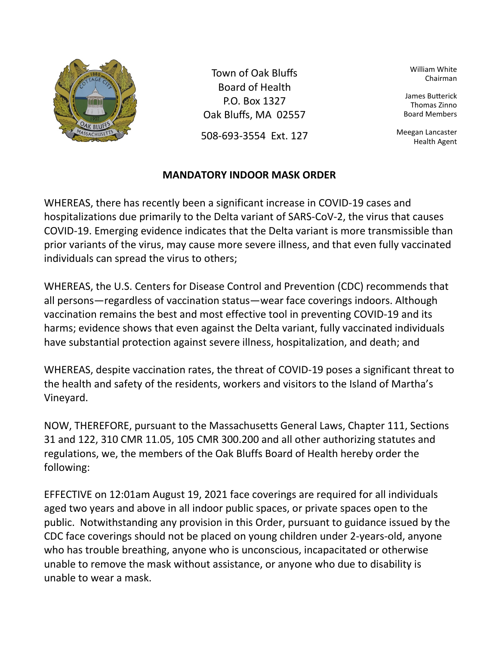

Town of Oak Bluffs Board of Health P.O. Box 1327 Oak Bluffs, MA 02557

508-693-3554 Ext. 127

## **MANDATORY INDOOR MASK ORDER**

William White Chairman

James Buterick Thomas Zinno Board Members

Meegan Lancaster Health Agent

WHEREAS, there has recently been a significant increase in COVID-19 cases and hospitalizations due primarily to the Delta variant of SARS-CoV-2, the virus that causes COVID-19. Emerging evidence indicates that the Delta variant is more transmissible than prior variants of the virus, may cause more severe illness, and that even fully vaccinated individuals can spread the virus to others;

WHEREAS, the U.S. Centers for Disease Control and Prevention (CDC) recommends that all persons—regardless of vaccination status—wear face coverings indoors. Although vaccination remains the best and most effective tool in preventing COVID-19 and its harms; evidence shows that even against the Delta variant, fully vaccinated individuals have substantial protection against severe illness, hospitalization, and death; and

WHEREAS, despite vaccination rates, the threat of COVID-19 poses a significant threat to the health and safety of the residents, workers and visitors to the Island of Martha's Vineyard.

NOW, THEREFORE, pursuant to the Massachusetts General Laws, Chapter 111, Sections 31 and 122, 310 CMR 11.05, 105 CMR 300.200 and all other authorizing statutes and regulations, we, the members of the Oak Bluffs Board of Health hereby order the following:

EFFECTIVE on 12:01am August 19, 2021 face coverings are required for all individuals aged two years and above in all indoor public spaces, or private spaces open to the public. Notwithstanding any provision in this Order, pursuant to guidance issued by the CDC face coverings should not be placed on young children under 2-years-old, anyone who has trouble breathing, anyone who is unconscious, incapacitated or otherwise unable to remove the mask without assistance, or anyone who due to disability is unable to wear a mask.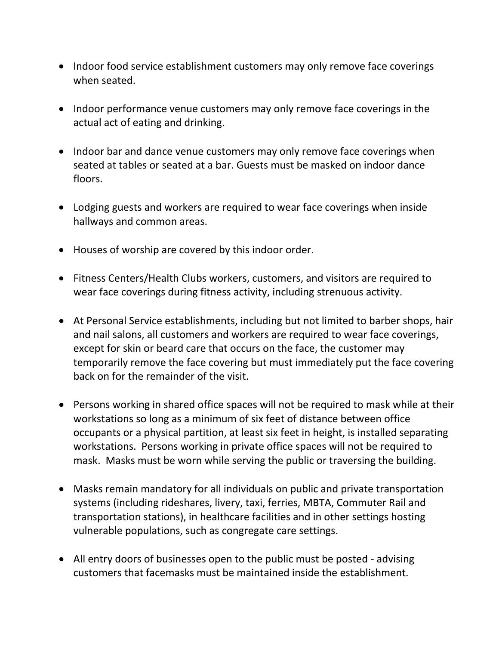- Indoor food service establishment customers may only remove face coverings when seated.
- Indoor performance venue customers may only remove face coverings in the actual act of eating and drinking.
- Indoor bar and dance venue customers may only remove face coverings when seated at tables or seated at a bar. Guests must be masked on indoor dance floors.
- Lodging guests and workers are required to wear face coverings when inside hallways and common areas.
- Houses of worship are covered by this indoor order.
- Fitness Centers/Health Clubs workers, customers, and visitors are required to wear face coverings during fitness activity, including strenuous activity.
- At Personal Service establishments, including but not limited to barber shops, hair and nail salons, all customers and workers are required to wear face coverings, except for skin or beard care that occurs on the face, the customer may temporarily remove the face covering but must immediately put the face covering back on for the remainder of the visit.
- Persons working in shared office spaces will not be required to mask while at their workstations so long as a minimum of six feet of distance between office occupants or a physical partition, at least six feet in height, is installed separating workstations. Persons working in private office spaces will not be required to mask. Masks must be worn while serving the public or traversing the building.
- Masks remain mandatory for all individuals on public and private transportation systems (including rideshares, livery, taxi, ferries, MBTA, Commuter Rail and transportation stations), in healthcare facilities and in other settings hosting vulnerable populations, such as congregate care settings.
- All entry doors of businesses open to the public must be posted advising customers that facemasks must be maintained inside the establishment.